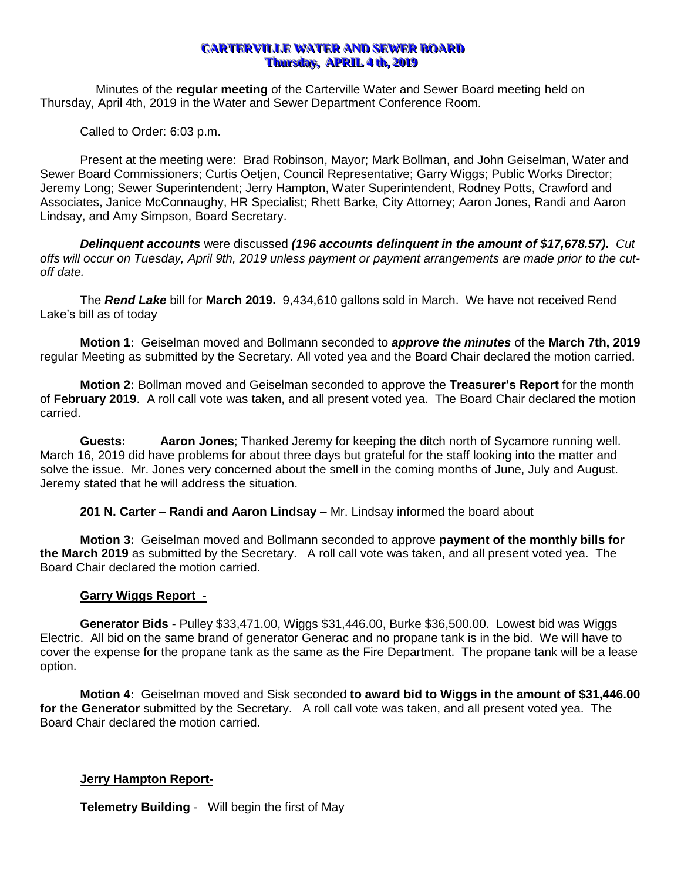## **CARTERVILLE WATER AND SEWER BOARD Thursday, APRIL 4 th, 2019**

Minutes of the **regular meeting** of the Carterville Water and Sewer Board meeting held on Thursday, April 4th, 2019 in the Water and Sewer Department Conference Room.

Called to Order: 6:03 p.m.

Present at the meeting were: Brad Robinson, Mayor; Mark Bollman, and John Geiselman, Water and Sewer Board Commissioners; Curtis Oetjen, Council Representative; Garry Wiggs; Public Works Director; Jeremy Long; Sewer Superintendent; Jerry Hampton, Water Superintendent, Rodney Potts, Crawford and Associates, Janice McConnaughy, HR Specialist; Rhett Barke, City Attorney; Aaron Jones, Randi and Aaron Lindsay, and Amy Simpson, Board Secretary.

*Delinquent accounts* were discussed *(196 accounts delinquent in the amount of \$17,678.57). Cut offs will occur on Tuesday, April 9th, 2019 unless payment or payment arrangements are made prior to the cutoff date.*

The *Rend Lake* bill for **March 2019.** 9,434,610 gallons sold in March. We have not received Rend Lake's bill as of today

**Motion 1:** Geiselman moved and Bollmann seconded to *approve the minutes* of the **March 7th, 2019** regular Meeting as submitted by the Secretary. All voted yea and the Board Chair declared the motion carried.

**Motion 2:** Bollman moved and Geiselman seconded to approve the **Treasurer's Report** for the month of **February 2019**. A roll call vote was taken, and all present voted yea. The Board Chair declared the motion carried.

**Guests: Aaron Jones**; Thanked Jeremy for keeping the ditch north of Sycamore running well. March 16, 2019 did have problems for about three days but grateful for the staff looking into the matter and solve the issue. Mr. Jones very concerned about the smell in the coming months of June, July and August. Jeremy stated that he will address the situation.

**201 N. Carter – Randi and Aaron Lindsay** – Mr. Lindsay informed the board about

**Motion 3:** Geiselman moved and Bollmann seconded to approve **payment of the monthly bills for the March 2019** as submitted by the Secretary. A roll call vote was taken, and all present voted yea. The Board Chair declared the motion carried.

# **Garry Wiggs Report -**

**Generator Bids** - Pulley \$33,471.00, Wiggs \$31,446.00, Burke \$36,500.00. Lowest bid was Wiggs Electric. All bid on the same brand of generator Generac and no propane tank is in the bid. We will have to cover the expense for the propane tank as the same as the Fire Department. The propane tank will be a lease option.

**Motion 4:** Geiselman moved and Sisk seconded **to award bid to Wiggs in the amount of \$31,446.00 for the Generator** submitted by the Secretary. A roll call vote was taken, and all present voted yea. The Board Chair declared the motion carried.

#### **Jerry Hampton Report-**

**Telemetry Building** - Will begin the first of May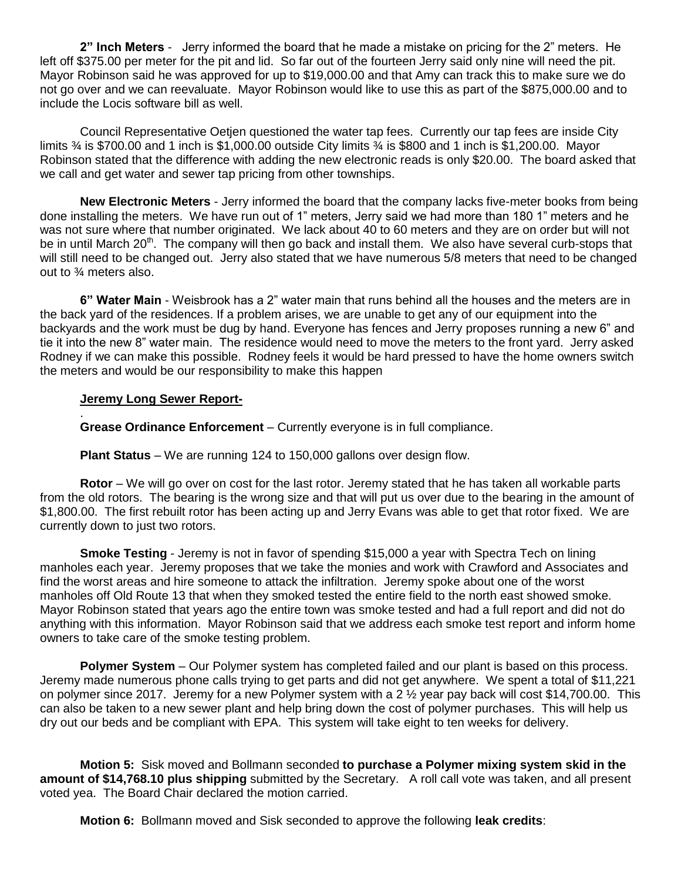**2" Inch Meters** - Jerry informed the board that he made a mistake on pricing for the 2" meters. He left off \$375.00 per meter for the pit and lid. So far out of the fourteen Jerry said only nine will need the pit. Mayor Robinson said he was approved for up to \$19,000.00 and that Amy can track this to make sure we do not go over and we can reevaluate. Mayor Robinson would like to use this as part of the \$875,000.00 and to include the Locis software bill as well.

Council Representative Oetjen questioned the water tap fees. Currently our tap fees are inside City limits  $\frac{3}{4}$  is \$700.00 and 1 inch is \$1,000.00 outside City limits  $\frac{3}{4}$  is \$800 and 1 inch is \$1,200.00. Mayor Robinson stated that the difference with adding the new electronic reads is only \$20.00. The board asked that we call and get water and sewer tap pricing from other townships.

**New Electronic Meters** - Jerry informed the board that the company lacks five-meter books from being done installing the meters. We have run out of 1" meters, Jerry said we had more than 180 1" meters and he was not sure where that number originated. We lack about 40 to 60 meters and they are on order but will not be in until March 20<sup>th</sup>. The company will then go back and install them. We also have several curb-stops that will still need to be changed out. Jerry also stated that we have numerous 5/8 meters that need to be changed out to ¾ meters also.

**6" Water Main** - Weisbrook has a 2" water main that runs behind all the houses and the meters are in the back yard of the residences. If a problem arises, we are unable to get any of our equipment into the backyards and the work must be dug by hand. Everyone has fences and Jerry proposes running a new 6" and tie it into the new 8" water main. The residence would need to move the meters to the front yard. Jerry asked Rodney if we can make this possible. Rodney feels it would be hard pressed to have the home owners switch the meters and would be our responsibility to make this happen

### **Jeremy Long Sewer Report-**

.

**Grease Ordinance Enforcement** – Currently everyone is in full compliance.

**Plant Status** – We are running 124 to 150,000 gallons over design flow.

**Rotor** – We will go over on cost for the last rotor. Jeremy stated that he has taken all workable parts from the old rotors. The bearing is the wrong size and that will put us over due to the bearing in the amount of \$1,800.00. The first rebuilt rotor has been acting up and Jerry Evans was able to get that rotor fixed. We are currently down to just two rotors.

**Smoke Testing** - Jeremy is not in favor of spending \$15,000 a year with Spectra Tech on lining manholes each year. Jeremy proposes that we take the monies and work with Crawford and Associates and find the worst areas and hire someone to attack the infiltration. Jeremy spoke about one of the worst manholes off Old Route 13 that when they smoked tested the entire field to the north east showed smoke. Mayor Robinson stated that years ago the entire town was smoke tested and had a full report and did not do anything with this information. Mayor Robinson said that we address each smoke test report and inform home owners to take care of the smoke testing problem.

**Polymer System** – Our Polymer system has completed failed and our plant is based on this process. Jeremy made numerous phone calls trying to get parts and did not get anywhere. We spent a total of \$11,221 on polymer since 2017. Jeremy for a new Polymer system with a 2 ½ year pay back will cost \$14,700.00. This can also be taken to a new sewer plant and help bring down the cost of polymer purchases. This will help us dry out our beds and be compliant with EPA. This system will take eight to ten weeks for delivery.

**Motion 5:** Sisk moved and Bollmann seconded **to purchase a Polymer mixing system skid in the amount of \$14,768.10 plus shipping** submitted by the Secretary. A roll call vote was taken, and all present voted yea. The Board Chair declared the motion carried.

**Motion 6:** Bollmann moved and Sisk seconded to approve the following **leak credits**: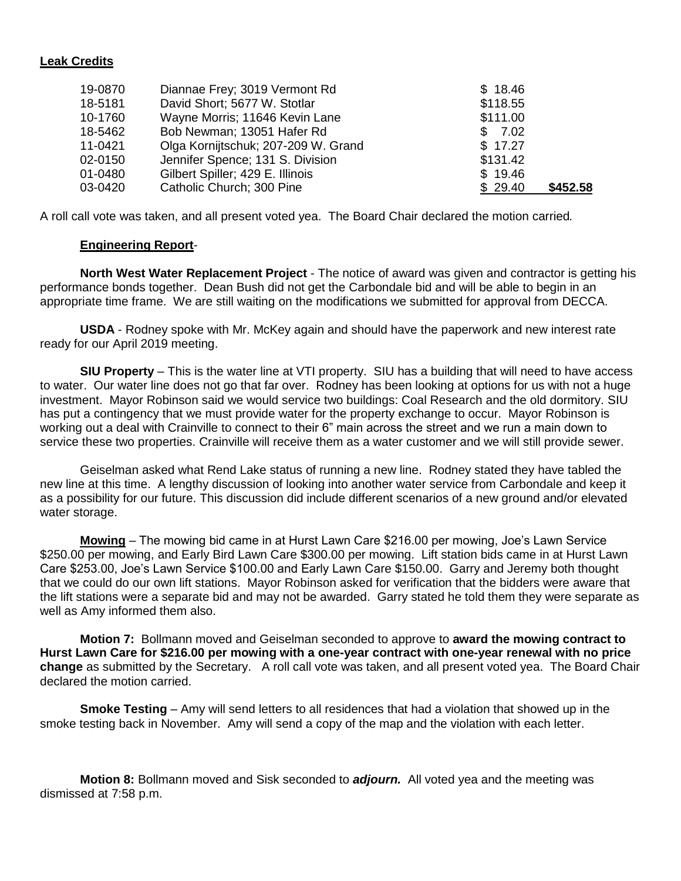### **Leak Credits**

| 19-0870 | Diannae Frey; 3019 Vermont Rd       | \$18.46  |          |
|---------|-------------------------------------|----------|----------|
| 18-5181 | David Short; 5677 W. Stotlar        | \$118.55 |          |
| 10-1760 | Wayne Morris; 11646 Kevin Lane      | \$111.00 |          |
| 18-5462 | Bob Newman; 13051 Hafer Rd          | \$7.02   |          |
| 11-0421 | Olga Kornijtschuk; 207-209 W. Grand | \$17.27  |          |
| 02-0150 | Jennifer Spence; 131 S. Division    | \$131.42 |          |
| 01-0480 | Gilbert Spiller; 429 E. Illinois    | \$19.46  |          |
| 03-0420 | Catholic Church; 300 Pine           | \$29.40  | \$452.58 |

A roll call vote was taken, and all present voted yea. The Board Chair declared the motion carried*.*

#### **Engineering Report**-

**North West Water Replacement Project** - The notice of award was given and contractor is getting his performance bonds together. Dean Bush did not get the Carbondale bid and will be able to begin in an appropriate time frame. We are still waiting on the modifications we submitted for approval from DECCA.

**USDA** - Rodney spoke with Mr. McKey again and should have the paperwork and new interest rate ready for our April 2019 meeting.

**SIU Property** – This is the water line at VTI property. SIU has a building that will need to have access to water. Our water line does not go that far over. Rodney has been looking at options for us with not a huge investment. Mayor Robinson said we would service two buildings: Coal Research and the old dormitory. SIU has put a contingency that we must provide water for the property exchange to occur. Mayor Robinson is working out a deal with Crainville to connect to their 6" main across the street and we run a main down to service these two properties. Crainville will receive them as a water customer and we will still provide sewer.

Geiselman asked what Rend Lake status of running a new line. Rodney stated they have tabled the new line at this time. A lengthy discussion of looking into another water service from Carbondale and keep it as a possibility for our future. This discussion did include different scenarios of a new ground and/or elevated water storage.

**Mowing** – The mowing bid came in at Hurst Lawn Care \$216.00 per mowing, Joe's Lawn Service \$250.00 per mowing, and Early Bird Lawn Care \$300.00 per mowing. Lift station bids came in at Hurst Lawn Care \$253.00, Joe's Lawn Service \$100.00 and Early Lawn Care \$150.00. Garry and Jeremy both thought that we could do our own lift stations. Mayor Robinson asked for verification that the bidders were aware that the lift stations were a separate bid and may not be awarded. Garry stated he told them they were separate as well as Amy informed them also.

**Motion 7:** Bollmann moved and Geiselman seconded to approve to **award the mowing contract to Hurst Lawn Care for \$216.00 per mowing with a one-year contract with one-year renewal with no price change** as submitted by the Secretary. A roll call vote was taken, and all present voted yea. The Board Chair declared the motion carried.

**Smoke Testing** – Amy will send letters to all residences that had a violation that showed up in the smoke testing back in November. Amy will send a copy of the map and the violation with each letter.

**Motion 8:** Bollmann moved and Sisk seconded to *adjourn.* All voted yea and the meeting was dismissed at 7:58 p.m.